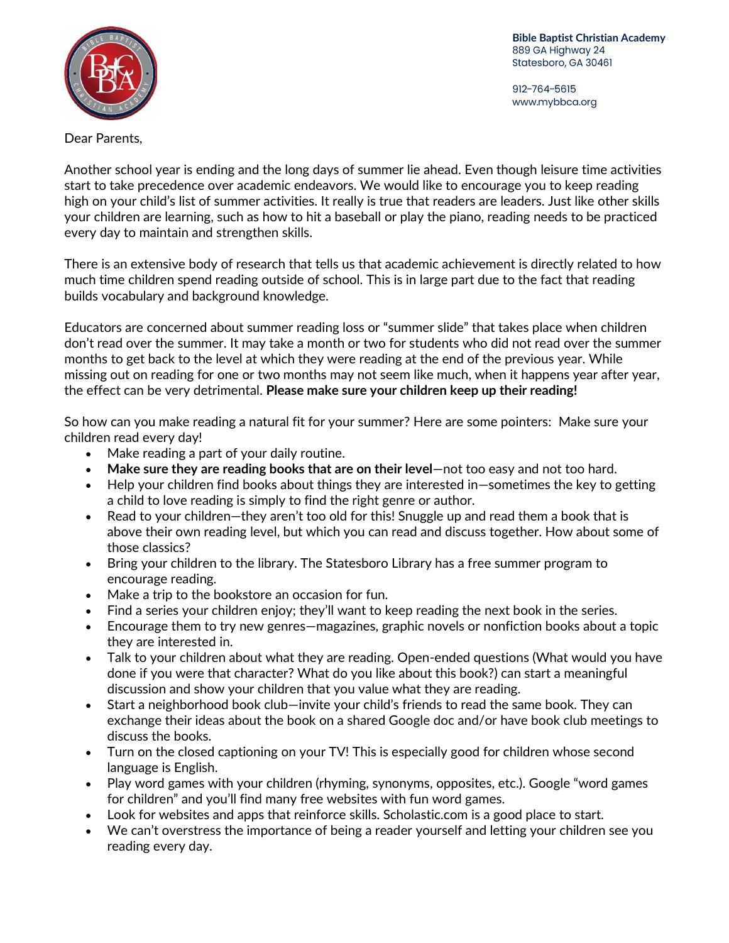**Bible Baptist Christian Academy**889 GA Highway 24 Statesboro, GA 30461

912-764-5615 www.mybbca.org



Dear Parents,

Another school year is ending and the long days of summer lie ahead. Even though leisure time activities start to take precedence over academic endeavors. We would like to encourage you to keep reading high on your child's list of summer activities. It really is true that readers are leaders. Just like other skills your children are learning, such as how to hit a baseball or play the piano, reading needs to be practiced every day to maintain and strengthen skills.

There is an extensive body of research that tells us that academic achievement is directly related to how much time children spend reading outside of school. This is in large part due to the fact that reading builds vocabulary and background knowledge.

Educators are concerned about summer reading loss or "summer slide" that takes place when children don't read over the summer. It may take a month or two for students who did not read over the summer months to get back to the level at which they were reading at the end of the previous year. While missing out on reading for one or two months may not seem like much, when it happens year after year, the effect can be very detrimental. **Please make sure your children keep up their reading!**

So how can you make reading a natural fit for your summer? Here are some pointers: Make sure your children read every day!

- Make reading a part of your daily routine.
- **Make sure they are reading books that are on their level**—not too easy and not too hard.
- Help your children find books about things they are interested in—sometimes the key to getting a child to love reading is simply to find the right genre or author.
- Read to your children—they aren't too old for this! Snuggle up and read them a book that is above their own reading level, but which you can read and discuss together. How about some of those classics?
- Bring your children to the library. The Statesboro Library has a free summer program to encourage reading.
- Make a trip to the bookstore an occasion for fun.
- Find a series your children enjoy; they'll want to keep reading the next book in the series.
- Encourage them to try new genres—magazines, graphic novels or nonfiction books about a topic they are interested in.
- Talk to your children about what they are reading. Open-ended questions (What would you have done if you were that character? What do you like about this book?) can start a meaningful discussion and show your children that you value what they are reading.
- Start a neighborhood book club—invite your child's friends to read the same book. They can exchange their ideas about the book on a shared Google doc and/or have book club meetings to discuss the books.
- Turn on the closed captioning on your TV! This is especially good for children whose second language is English.
- Play word games with your children (rhyming, synonyms, opposites, etc.). Google "word games for children" and you'll find many free websites with fun word games.
- Look for websites and apps that reinforce skills. Scholastic.com is a good place to start.
- We can't overstress the importance of being a reader yourself and letting your children see you reading every day.